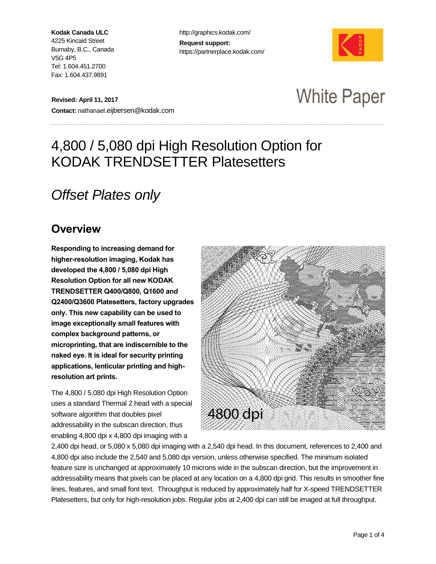**Kodak Canada ULC** 4225 Kincaid Street Burnaby, B.C., Canada V5G 4P5 Tel: 1.604.451.2700 Fax: 1.604.437.9891

http://graphics.kodak.com/ **Request support:** https://partnerplace.kodak.com/



**Revised: April 11, 2017 Contact:** nathanael.eijbersen@kodak.com

## White Paper

### 4,800 / 5,080 dpi High Resolution Option for KODAK TRENDSETTER Platesetters

### *Offset Plates only*

#### *Overview*

*Responding to increasing demand for higher-resolution imaging, Kodak has developed the 4,800 / 5,080 dpi High Resolution Option for all new KODAK TRENDSETTER Q400/Q800, Q1600 and Q2400/Q3600 Platesetters, factory upgrades only. This new capability can be used to image exceptionally small features with complex background patterns, or microprinting, that are indiscernible to the naked eye. It is ideal for security printing applications, lenticular printing and highresolution art prints.* 

The 4,800 / 5,080 dpi High Resolution Option uses a standard Thermal 2 head with a special software algorithm that doubles pixel addressability in the subscan direction, thus enabling 4,800 dpi x 4,800 dpi imaging with a



2,400 dpi head, or 5,080 x 5,080 dpi imaging with a 2,540 dpi head. In this document, references to 2,400 and 4,800 dpi also include the 2,540 and 5,080 dpi version, unless otherwise specified. The minimum isolated feature size is unchanged at approximately 10 microns wide in the subscan direction, but the improvement in addressability means that pixels can be placed at any location on a 4,800 dpi grid. This results in smoother fine lines, features, and small font text. Throughput is reduced by approximately half for X-speed TRENDSETTER Platesetters, but only for high-resolution jobs. Regular jobs at 2,400 dpi can still be imaged at full throughput.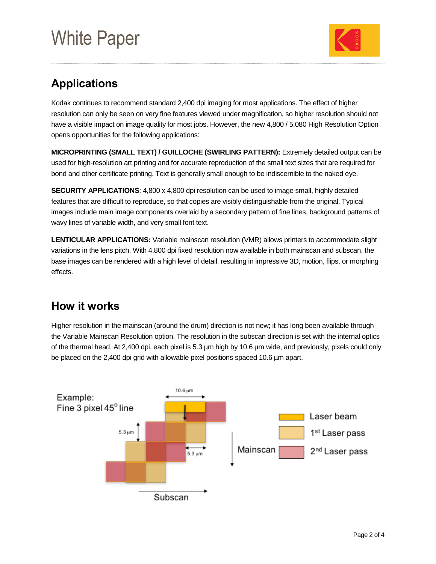# White Paper



### *Applications*

Kodak continues to recommend standard 2,400 dpi imaging for most applications. The effect of higher resolution can only be seen on very fine features viewed under magnification, so higher resolution should not have a visible impact on image quality for most jobs. However, the new 4,800 / 5,080 High Resolution Option opens opportunities for the following applications:

**MICROPRINTING (SMALL TEXT) / GUILLOCHE (SWIRLING PATTERN):** Extremely detailed output can be used for high-resolution art printing and for accurate reproduction of the small text sizes that are required for bond and other certificate printing. Text is generally small enough to be indiscernible to the naked eye.

**SECURITY APPLICATIONS:** 4,800 x 4,800 dpi resolution can be used to image small, highly detailed features that are difficult to reproduce, so that copies are visibly distinguishable from the original. Typical images include main image components overlaid by a secondary pattern of fine lines, background patterns of wavy lines of variable width, and very small font text.

**LENTICULAR APPLICATIONS:** Variable mainscan resolution (VMR) allows printers to accommodate slight variations in the lens pitch. With 4,800 dpi fixed resolution now available in both mainscan and subscan, the base images can be rendered with a high level of detail, resulting in impressive 3D, motion, flips, or morphing effects.

### *How it works*

Higher resolution in the mainscan (around the drum) direction is not new; it has long been available through the Variable Mainscan Resolution option. The resolution in the subscan direction is set with the internal optics of the thermal head. At 2,400 dpi, each pixel is 5.3 µm high by 10.6 µm wide, and previously, pixels could only be placed on the 2,400 dpi grid with allowable pixel positions spaced 10.6 µm apart.

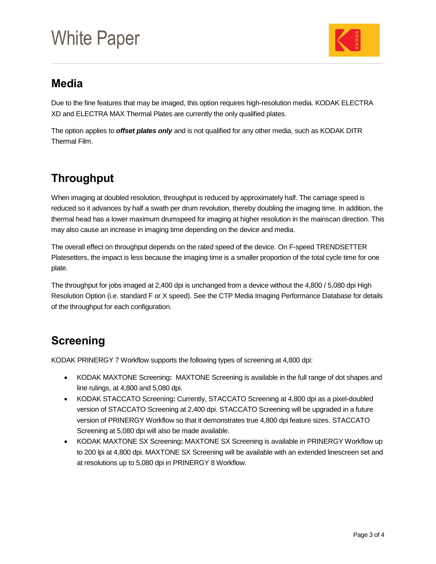# White Paper



### *Media*

Due to the fine features that may be imaged, this option requires high-resolution media. KODAK ELECTRA XD and ELECTRA MAX Thermal Plates are currently the only qualified plates.

The option applies to *offset plates only* and is not qualified for any other media, such as KODAK DITR Thermal Film.

### *Throughput*

When imaging at doubled resolution, throughput is reduced by approximately half. The carriage speed is reduced so it advances by half a swath per drum revolution, thereby doubling the imaging time. In addition, the thermal head has a lower maximum drumspeed for imaging at higher resolution in the mainscan direction. This may also cause an increase in imaging time depending on the device and media.

The overall effect on throughput depends on the rated speed of the device. On F-speed TRENDSETTER Platesetters, the impact is less because the imaging time is a smaller proportion of the total cycle time for one plate.

The throughput for jobs imaged at 2,400 dpi is unchanged from a device without the 4,800 / 5,080 dpi High Resolution Option (i.e. standard F or X speed). See the CTP Media Imaging Performance Database for details of the throughput for each configuration.

### *Screening*

KODAK PRINERGY 7 Workflow supports the following types of screening at 4,800 dpi:

- KODAK MAXTONE Screening**:** MAXTONE Screening is available in the full range of dot shapes and line rulings, at 4,800 and 5,080 dpi.
- KODAK STACCATO Screening**:** Currently, STACCATO Screening at 4,800 dpi as a pixel-doubled version of STACCATO Screening at 2,400 dpi. STACCATO Screening will be upgraded in a future version of PRINERGY Workflow so that it demonstrates true 4,800 dpi feature sizes. STACCATO Screening at 5,080 dpi will also be made available.
- KODAK MAXTONE SX Screening**:** MAXTONE SX Screening is available in PRINERGY Workflow up to 200 lpi at 4,800 dpi. MAXTONE SX Screening will be available with an extended linescreen set and at resolutions up to 5,080 dpi in PRINERGY 8 Workflow.